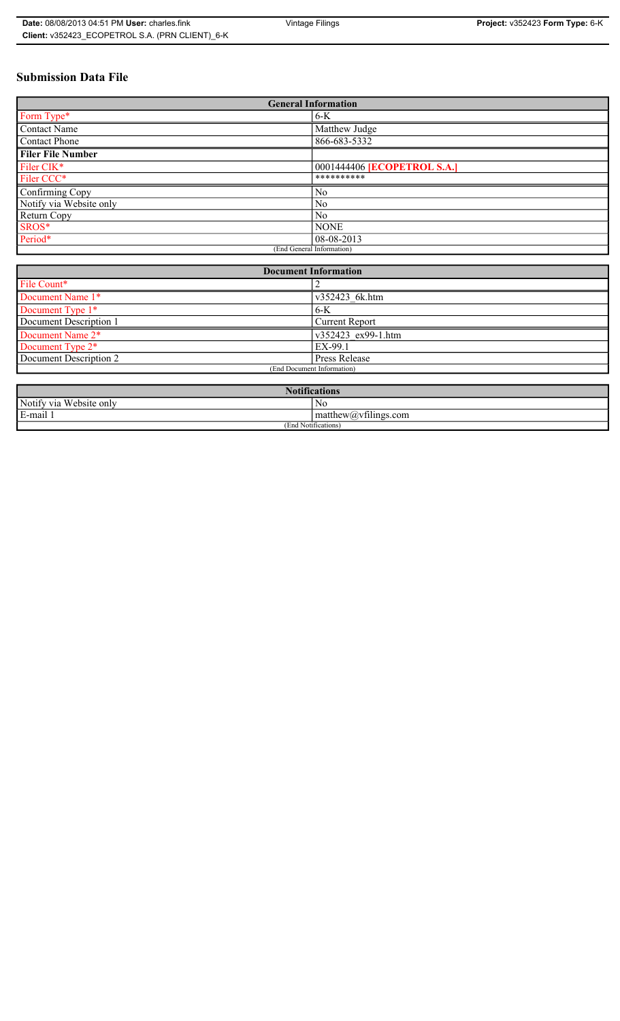# **Submission Data File**

| <b>General Information</b> |                                    |
|----------------------------|------------------------------------|
| Form Type*                 | $6-K$                              |
| <b>Contact Name</b>        | Matthew Judge                      |
| Contact Phone              | 866-683-5332                       |
| <b>Filer File Number</b>   |                                    |
| Filer CIK <sup>*</sup>     | 0001444406 <b>[ECOPETROL S.A.]</b> |
| Filer CCC*                 | **********                         |
| Confirming Copy            | N <sub>0</sub>                     |
| Notify via Website only    | N <sub>0</sub>                     |
| Return Copy                | N <sub>0</sub>                     |
| SROS*                      | <b>NONE</b>                        |
| Period*                    | 08-08-2013                         |
| (End General Information)  |                                    |

| <b>Document Information</b>  |                       |
|------------------------------|-----------------------|
| File Count*                  |                       |
| Document Name 1*             | v352423 6k.htm        |
| Document Type 1*             | $6-K$                 |
| Document Description 1       | <b>Current Report</b> |
| Document Name 2*             | v352423 ex99-1.htm    |
| Document Type 2 <sup>*</sup> | EX-99.1               |
| Document Description 2       | <b>Press Release</b>  |
| (End Document Information)   |                       |
|                              |                       |

| <b>Notifications</b>    |                                               |  |
|-------------------------|-----------------------------------------------|--|
| Notify via Website only | No                                            |  |
| E-mail<br>$\cdots$      | $\sim$ 1.<br>matthew( <i>a</i> ) vtilings.com |  |
| (End Notifications)     |                                               |  |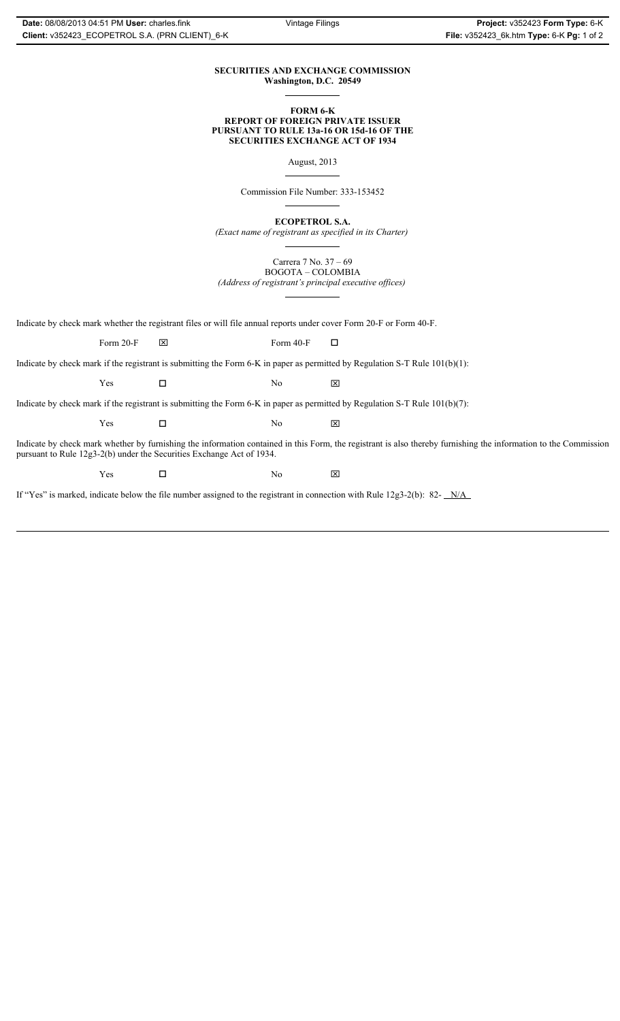### **SECURITIES AND EXCHANGE COMMISSION Washington, D.C. 20549**

### **FORM 6-K REPORT OF FOREIGN PRIVATE ISSUER PURSUANT TO RULE 13a-16 OR 15d-16 OF THE SECURITIES EXCHANGE ACT OF 1934**

August, 2013

Commission File Number: 333-153452

**ECOPETROL S.A.**

*(Exact name of registrant as specified in its Charter)*

Carrera 7 No. 37 – 69 BOGOTA – COLOMBIA

*(Address of registrant's principal executive offices)*

Indicate by check mark whether the registrant files or will file annual reports under cover Form 20-F or Form 40-F.

Form 20-F  $\boxtimes$  Form 40-F  $\Box$ 

Indicate by check mark if the registrant is submitting the Form 6-K in paper as permitted by Regulation S-T Rule 101(b)(1):

 $Yes$   $\Box$  No  $X$ 

Indicate by check mark if the registrant is submitting the Form 6-K in paper as permitted by Regulation S-T Rule 101(b)(7):

 $Yes$   $\Box$  No  $X$ 

Indicate by check mark whether by furnishing the information contained in this Form, the registrant is also thereby furnishing the information to the Commission pursuant to Rule 12g3-2(b) under the Securities Exchange Act of 1934.

 $Yes$   $\square$  No  $X$ 

If "Yes" is marked, indicate below the file number assigned to the registrant in connection with Rule 12g3-2(b): 82- N/A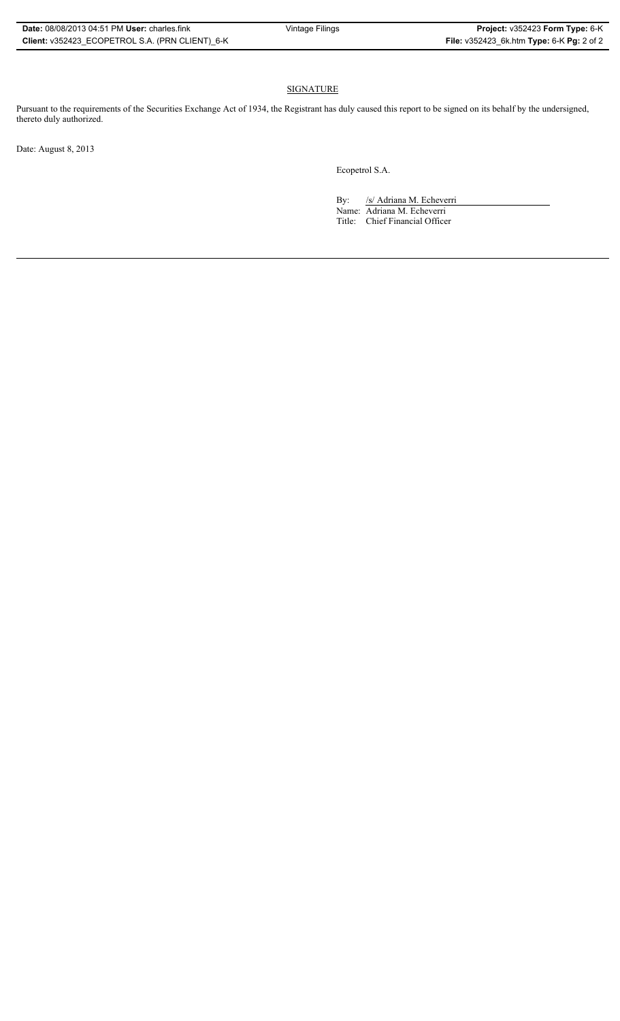## **SIGNATURE**

Pursuant to the requirements of the Securities Exchange Act of 1934, the Registrant has duly caused this report to be signed on its behalf by the undersigned, thereto duly authorized.

Date: August 8, 2013

Ecopetrol S.A.

By: /s/ Adriana M. Echeverri

Name: Adriana M. Echeverri Title: Chief Financial Officer